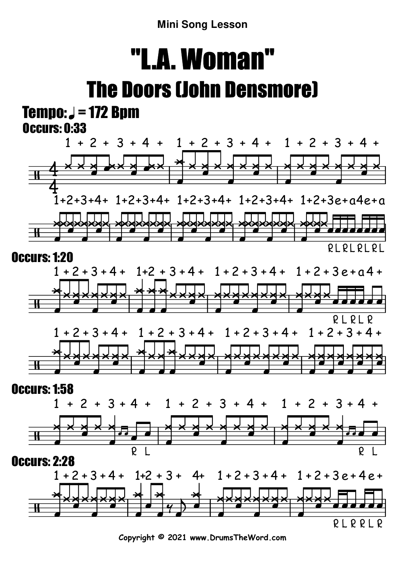**Mini Song Lesson**

## "L.A. Woman"The Doors (John Densmore)

### $Tempo: J = 172 Bpm$ Occurs: 0:33







R

L

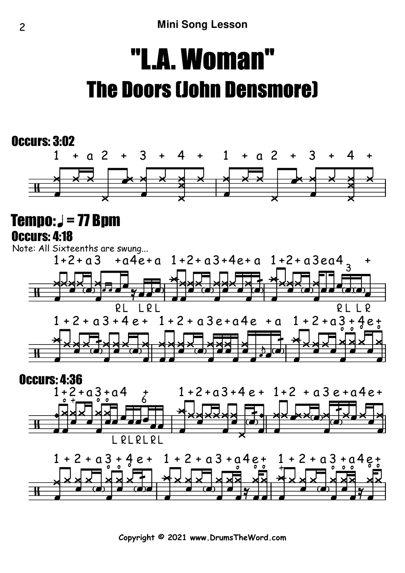# "L.A. Woman"The Doors (John Densmore)

#### Occurs: 3:02



#### $Tempo: J = 77 Bpm$ Occurs: 4:18



### Occurs: 4:36



**Copyright © 2021 www.DrumsTheWord.com**